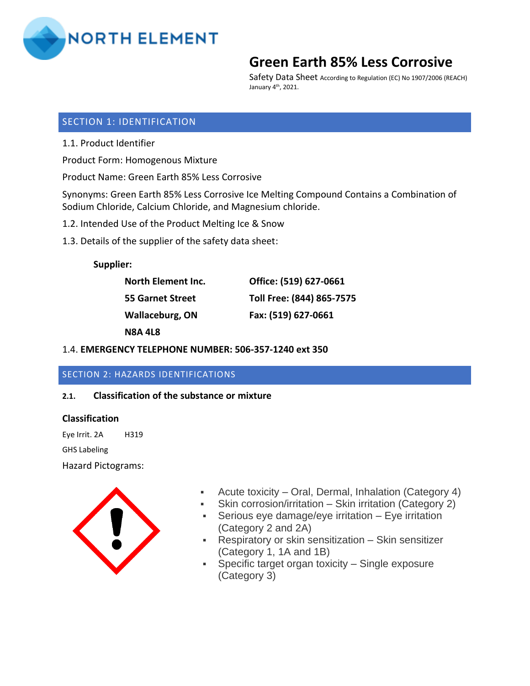

Safety Data Sheet According to Regulation (EC) No 1907/2006 (REACH) January 4th, 2021.

## SECTION 1: IDENTIFICATION

1.1. Product Identifier

Product Form: Homogenous Mixture

Product Name: Green Earth 85% Less Corrosive

Synonyms: Green Earth 85% Less Corrosive Ice Melting Compound Contains a Combination of Sodium Chloride, Calcium Chloride, and Magnesium chloride.

- 1.2. Intended Use of the Product Melting Ice & Snow
- 1.3. Details of the supplier of the safety data sheet:

#### **Supplier:**

| North Element Inc.      | Office: (519) 627-0661    |
|-------------------------|---------------------------|
| <b>55 Garnet Street</b> | Toll Free: (844) 865-7575 |
| Wallaceburg, ON         | Fax: (519) 627-0661       |
| <b>N8A 4L8</b>          |                           |

## 1.4. **EMERGENCY TELEPHONE NUMBER: 506-357-1240 ext 350**

## SECTION 2: HAZARDS IDENTIFICATIONS

## **2.1. Classification of the substance or mixture**

#### **Classification**

Eye Irrit. 2A H319

GHS Labeling

Hazard Pictograms:



- Acute toxicity Oral, Dermal, Inhalation (Category 4)
- Skin corrosion/irritation Skin irritation (Category 2)
- **•** Serious eye damage/eye irritation Eye irritation (Category 2 and 2A)
- Respiratory or skin sensitization Skin sensitizer (Category 1, 1A and 1B)
- **•** Specific target organ toxicity Single exposure (Category 3)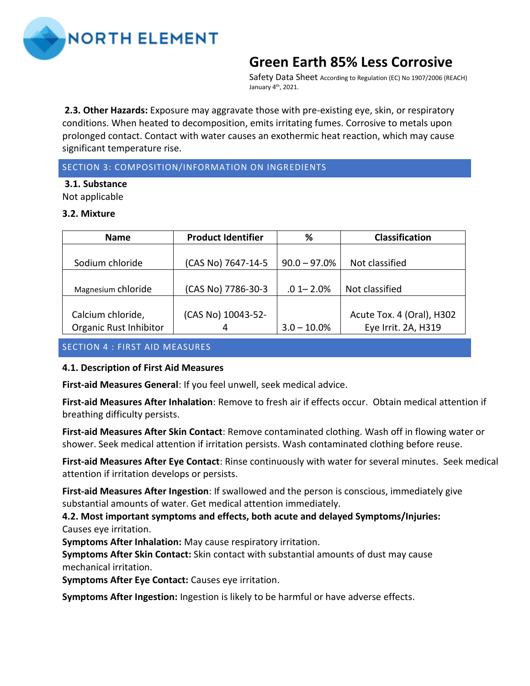

Safety Data Sheet According to Regulation (EC) No 1907/2006 (REACH) January 4th, 2021.

**2.3. Other Hazards:** Exposure may aggravate those with pre-existing eye, skin, or respiratory conditions. When heated to decomposition, emits irritating fumes. Corrosive to metals upon prolonged contact. Contact with water causes an exothermic heat reaction, which may cause significant temperature rise.

## SECTION 3: COMPOSITION/INFORMATION ON INGREDIENTS

**3.1. Substance**  Not applicable

#### **3.2. Mixture**

| <b>Name</b>            | <b>Product Identifier</b> | %              | <b>Classification</b>     |
|------------------------|---------------------------|----------------|---------------------------|
|                        |                           |                |                           |
| Sodium chloride        | (CAS No) 7647-14-5        | $90.0 - 97.0%$ | Not classified            |
|                        |                           |                |                           |
| Magnesium chloride     | (CAS No) 7786-30-3        | $.01 - 2.0%$   | Not classified            |
|                        |                           |                |                           |
| Calcium chloride,      | (CAS No) 10043-52-        |                | Acute Tox. 4 (Oral), H302 |
| Organic Rust Inhibitor | 4                         | $3.0 - 10.0\%$ | Eye Irrit. 2A, H319       |

## SECTION 4 : FIRST AID MEASURES

## **4.1. Description of First Aid Measures**

**First-aid Measures General**: If you feel unwell, seek medical advice.

**First-aid Measures After Inhalation**: Remove to fresh air if effects occur. Obtain medical attention if breathing difficulty persists.

**First-aid Measures After Skin Contact**: Remove contaminated clothing. Wash off in flowing water or shower. Seek medical attention if irritation persists. Wash contaminated clothing before reuse.

**First-aid Measures After Eye Contact**: Rinse continuously with water for several minutes. Seek medical attention if irritation develops or persists.

**First-aid Measures After Ingestion**: If swallowed and the person is conscious, immediately give substantial amounts of water. Get medical attention immediately.

**4.2. Most important symptoms and effects, both acute and delayed Symptoms/Injuries:**  Causes eye irritation.

**Symptoms After Inhalation:** May cause respiratory irritation.

**Symptoms After Skin Contact:** Skin contact with substantial amounts of dust may cause mechanical irritation.

**Symptoms After Eye Contact:** Causes eye irritation.

**Symptoms After Ingestion:** Ingestion is likely to be harmful or have adverse effects.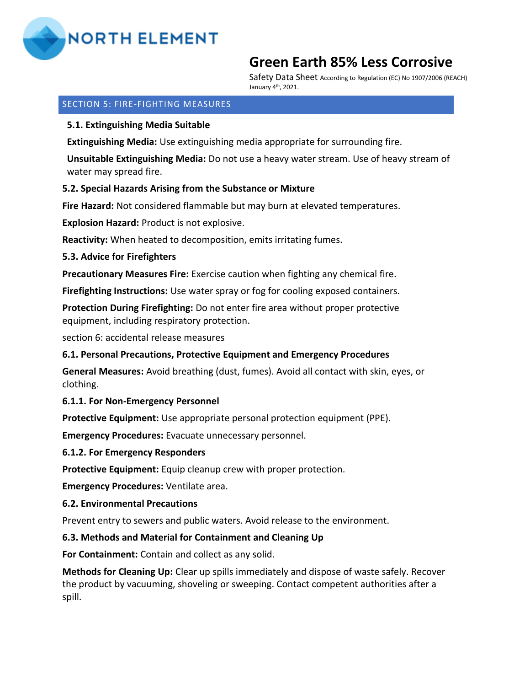

Safety Data Sheet According to Regulation (EC) No 1907/2006 (REACH) January 4th, 2021.

### SECTION 5: FIRE-FIGHTING MEASURES

### **5.1. Extinguishing Media Suitable**

**Extinguishing Media:** Use extinguishing media appropriate for surrounding fire.

**Unsuitable Extinguishing Media:** Do not use a heavy water stream. Use of heavy stream of water may spread fire.

#### **5.2. Special Hazards Arising from the Substance or Mixture**

**Fire Hazard:** Not considered flammable but may burn at elevated temperatures.

**Explosion Hazard:** Product is not explosive.

**Reactivity:** When heated to decomposition, emits irritating fumes.

#### **5.3. Advice for Firefighters**

**Precautionary Measures Fire:** Exercise caution when fighting any chemical fire.

**Firefighting Instructions:** Use water spray or fog for cooling exposed containers.

**Protection During Firefighting:** Do not enter fire area without proper protective equipment, including respiratory protection.

section 6: accidental release measures

## **6.1. Personal Precautions, Protective Equipment and Emergency Procedures**

**General Measures:** Avoid breathing (dust, fumes). Avoid all contact with skin, eyes, or clothing.

#### **6.1.1. For Non-Emergency Personnel**

**Protective Equipment:** Use appropriate personal protection equipment (PPE).

**Emergency Procedures:** Evacuate unnecessary personnel.

#### **6.1.2. For Emergency Responders**

**Protective Equipment:** Equip cleanup crew with proper protection.

**Emergency Procedures:** Ventilate area.

#### **6.2. Environmental Precautions**

Prevent entry to sewers and public waters. Avoid release to the environment.

#### **6.3. Methods and Material for Containment and Cleaning Up**

**For Containment:** Contain and collect as any solid.

**Methods for Cleaning Up:** Clear up spills immediately and dispose of waste safely. Recover the product by vacuuming, shoveling or sweeping. Contact competent authorities after a spill.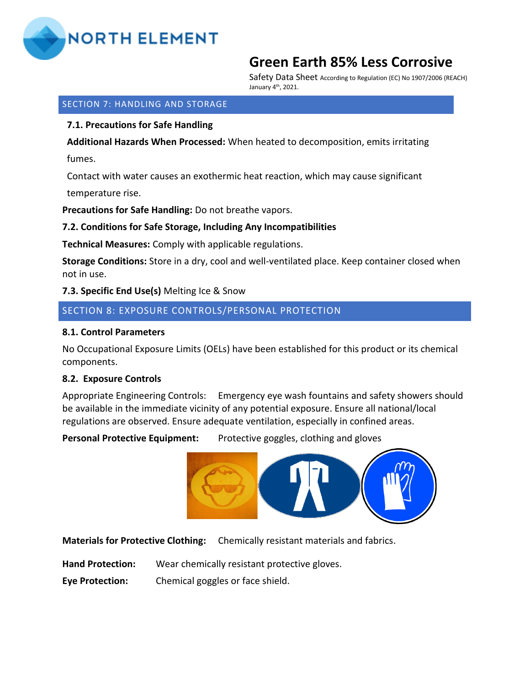

Safety Data Sheet According to Regulation (EC) No 1907/2006 (REACH) January 4th, 2021.

#### SECTION 7: HANDLING AND STORAGE

### **7.1. Precautions for Safe Handling**

**Additional Hazards When Processed:** When heated to decomposition, emits irritating

fumes.

Contact with water causes an exothermic heat reaction, which may cause significant

temperature rise.

**Precautions for Safe Handling:** Do not breathe vapors.

## **7.2. Conditions for Safe Storage, Including Any Incompatibilities**

**Technical Measures:** Comply with applicable regulations.

**Storage Conditions:** Store in a dry, cool and well-ventilated place. Keep container closed when not in use.

## **7.3. Specific End Use(s)** Melting Ice & Snow

## SECTION 8: EXPOSURE CONTROLS/PERSONAL PROTECTION

#### **8.1. Control Parameters**

No Occupational Exposure Limits (OELs) have been established for this product or its chemical components.

## **8.2. Exposure Controls**

Appropriate Engineering Controls: Emergency eye wash fountains and safety showers should be available in the immediate vicinity of any potential exposure. Ensure all national/local regulations are observed. Ensure adequate ventilation, especially in confined areas.

Personal Protective Equipment: Protective goggles, clothing and gloves



**Materials for Protective Cloth[ing:](http://www.flickr.com/photos/devnull/189017925/)** Chemicall[y resistant](https://commons.wikimedia.org/wiki/File:DIN_4844-2_D-M007.svg) material[s and](https://creativecommons.org/licenses/by-sa/3.0/) fabrics.

**Hand Protection:** Wear ch[emically re](https://creativecommons.org/licenses/by-nc-sa/2.0/)sistan[t prot](https://creativecommons.org/licenses/by-sa/3.0/)ective gloves.

**Eye Protection:** Chemical goggles or face shield.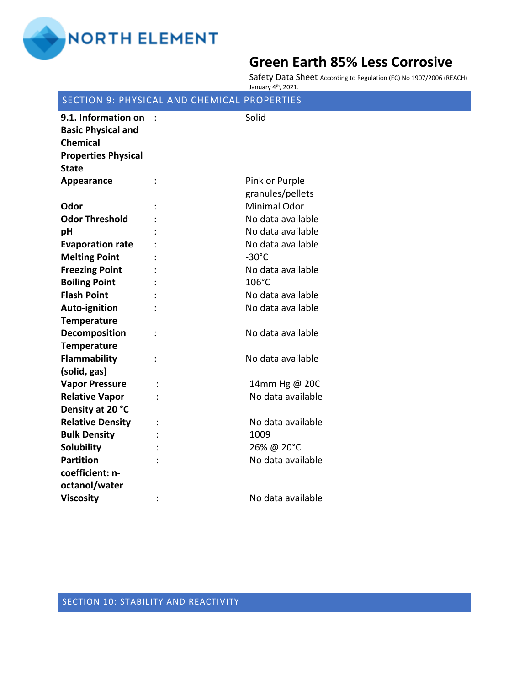

Safety Data Sheet According to Regulation (EC) No 1907/2006 (REACH) January 4th, 2021.

## SECTION 9: PHYSICAL AND CHEMICAL PROPERTIES

| 9.1. Information on<br><b>Basic Physical and</b> |                | Solid               |
|--------------------------------------------------|----------------|---------------------|
| <b>Chemical</b>                                  |                |                     |
| <b>Properties Physical</b>                       |                |                     |
| <b>State</b>                                     |                |                     |
| Appearance                                       |                | Pink or Purple      |
|                                                  |                | granules/pellets    |
| Odor                                             |                | <b>Minimal Odor</b> |
| <b>Odor Threshold</b>                            |                | No data available   |
| pH                                               |                | No data available   |
| <b>Evaporation rate</b>                          |                | No data available   |
| <b>Melting Point</b>                             |                | $-30^{\circ}$ C     |
| <b>Freezing Point</b>                            |                | No data available   |
| <b>Boiling Point</b>                             |                | 106°C               |
| <b>Flash Point</b>                               |                | No data available   |
| Auto-ignition                                    |                | No data available   |
| <b>Temperature</b>                               |                |                     |
| Decomposition                                    | $\ddot{\cdot}$ | No data available   |
| <b>Temperature</b>                               |                |                     |
| Flammability                                     |                | No data available   |
| (solid, gas)                                     |                |                     |
| <b>Vapor Pressure</b>                            |                | 14mm Hg @ 20C       |
| <b>Relative Vapor</b>                            |                | No data available   |
| Density at 20 °C                                 |                |                     |
| <b>Relative Density</b>                          |                | No data available   |
| <b>Bulk Density</b>                              |                | 1009                |
| <b>Solubility</b>                                |                | 26% @ 20°C          |
| <b>Partition</b>                                 |                | No data available   |
| coefficient: n-                                  |                |                     |
| octanol/water                                    |                |                     |
| <b>Viscosity</b>                                 | $\ddot{\cdot}$ | No data available   |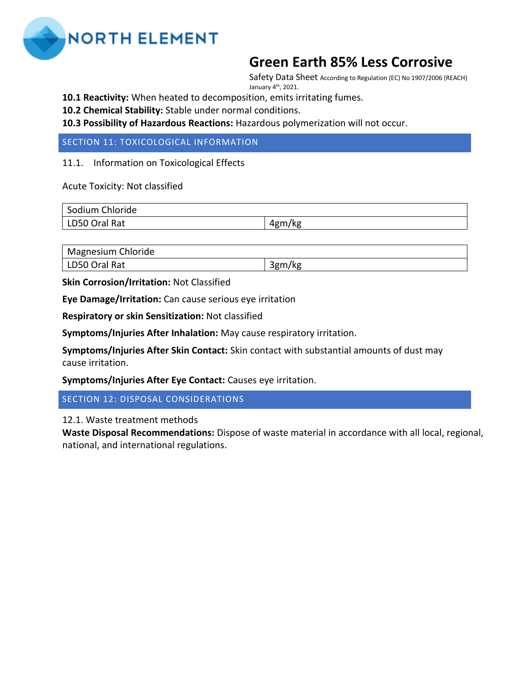

Safety Data Sheet According to Regulation (EC) No 1907/2006 (REACH) January 4th, 2021.

**10.1 Reactivity:** When heated to decomposition, emits irritating fumes.

**10.2 Chemical Stability:** Stable under normal conditions.

**10.3 Possibility of Hazardous Reactions:** Hazardous polymerization will not occur.

SECTION 11: TOXICOLOGICAL INFORMATION

11.1. Information on Toxicological Effects

Acute Toxicity: Not classified

| Sodium Chloride |            |
|-----------------|------------|
| LD50 Oral Rat   | /kg<br>4gm |

Magnesium Chloride

LD50 Oral Rat 3gm/kg

**Skin Corrosion/Irritation:** Not Classified

**Eye Damage/Irritation:** Can cause serious eye irritation

**Respiratory or skin Sensitization:** Not classified

**Symptoms/Injuries After Inhalation:** May cause respiratory irritation.

**Symptoms/Injuries After Skin Contact:** Skin contact with substantial amounts of dust may cause irritation.

**Symptoms/Injuries After Eye Contact:** Causes eye irritation.

SECTION 12: DISPOSAL CONSIDERATIONS

12.1. Waste treatment methods

**Waste Disposal Recommendations:** Dispose of waste material in accordance with all local, regional, national, and international regulations.